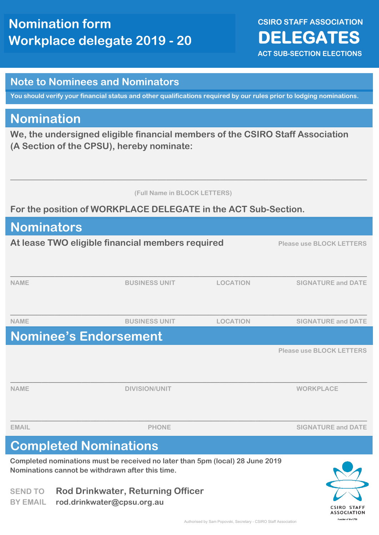**CSIRO STAFF ASSOCIATION DELEGATES ACT SUB-SECTION ELECTIONS** 

#### **Note to Nominees and Nominators**

**You should verify your financial status and other qualifications required by our rules prior to lodging nominations.**

#### **Nomination**

**We, the undersigned eligible financial members of the CSIRO Staff Association (A Section of the CPSU), hereby nominate:**

 **(Full Name in BLOCK LETTERS)**

**\_\_\_\_\_\_\_\_\_\_\_\_\_\_\_\_\_\_\_\_\_\_\_\_\_\_\_\_\_\_\_\_\_\_\_\_\_\_\_\_\_\_\_\_\_\_\_\_\_\_\_\_\_\_\_\_\_\_\_\_\_\_\_\_\_\_\_\_\_\_\_\_\_\_\_\_\_\_\_\_**

**For the position of WORKPLACE DELEGATE in the ACT Sub-Section.**

| <b>Nominators</b>                                                                                                                 |                                                  |                 |                                 |
|-----------------------------------------------------------------------------------------------------------------------------------|--------------------------------------------------|-----------------|---------------------------------|
|                                                                                                                                   | At lease TWO eligible financial members required |                 | <b>Please use BLOCK LETTERS</b> |
| <b>NAME</b>                                                                                                                       | <b>BUSINESS UNIT</b>                             | <b>LOCATION</b> | <b>SIGNATURE and DATE</b>       |
| <b>NAME</b>                                                                                                                       | <b>BUSINESS UNIT</b>                             | <b>LOCATION</b> | <b>SIGNATURE and DATE</b>       |
|                                                                                                                                   | <b>Nominee's Endorsement</b>                     |                 |                                 |
|                                                                                                                                   |                                                  |                 | <b>Please use BLOCK LETTERS</b> |
| <b>NAME</b>                                                                                                                       | <b>DIVISION/UNIT</b>                             |                 | <b>WORKPLACE</b>                |
| <b>EMAIL</b>                                                                                                                      | <b>PHONE</b>                                     |                 | <b>SIGNATURE and DATE</b>       |
| <b>Completed Nominations</b>                                                                                                      |                                                  |                 |                                 |
| Completed nominations must be received no later than 5pm (local) 28 June 2019<br>Nominations cannot be withdrawn after this time. |                                                  |                 |                                 |

**SEND TO Rod Drinkwater, Returning Officer BY EMAIL rod.drinkwater@cpsu.org.au**